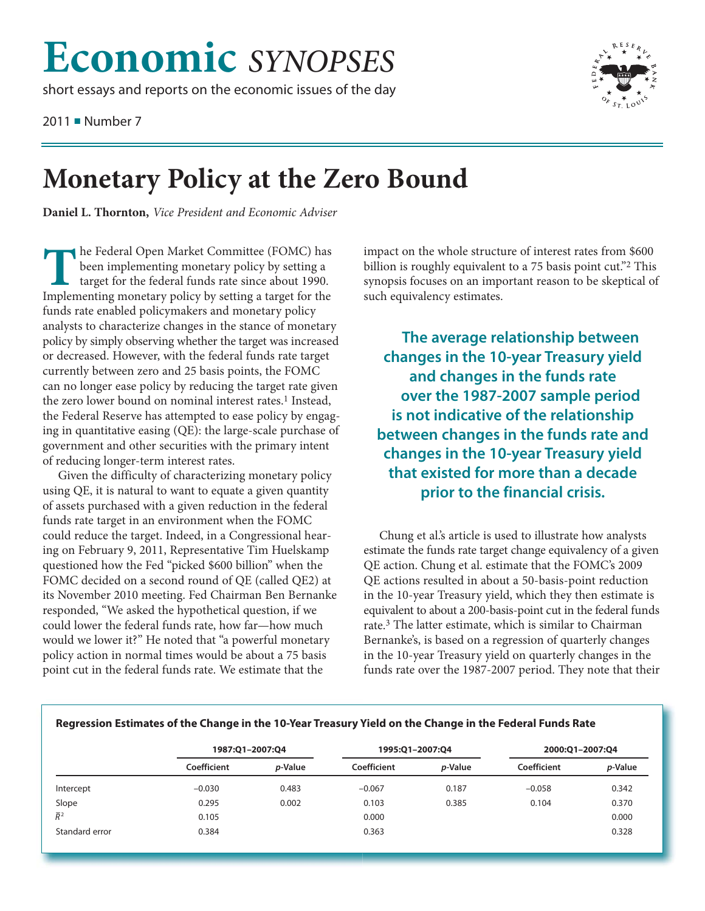## **Economic** *SYNOPSES*

short essays and reports on the economic issues of the day

2011 ■ Number 7



## **Monetary Policy at the Zero Bound**

**Daniel L. Thornton,** *Vice President and Economic Adviser*

**T** he Federal Open Market Committee (FOMC) has<br>been implementing monetary policy by setting a<br>target for the federal funds rate since about 1990. been implementing monetary policy by setting a target for the federal funds rate since about 1990. Implementing monetary policy by setting a target for the funds rate enabled policymakers and monetary policy analysts to characterize changes in the stance of monetary policy by simply observing whether the target was increased or decreased. However, with the federal funds rate target currently between zero and 25 basis points, the FOMC can no longer ease policy by reducing the target rate given the zero lower bound on nominal interest rates.<sup>1</sup> Instead, the Federal Reserve has attempted to ease policy by engaging in quantitative easing (QE): the large-scale purchase of government and other securities with the primary intent of reducing longer-term interest rates.

Given the difficulty of characterizing monetary policy using QE, it is natural to want to equate a given quantity of assets purchased with a given reduction in the federal funds rate target in an environment when the FOMC could reduce the target. Indeed, in a Congressional hearing on February 9, 2011, Representative Tim Huelskamp questioned how the Fed "picked \$600 billion" when the FOMC decided on a second round of QE (called QE2) at its November 2010 meeting. Fed Chairman Ben Bernanke responded, "We asked the hypothetical question, if we could lower the federal funds rate, how far—how much would we lower it?" He noted that "a powerful monetary policy action in normal times would be about a 75 basis point cut in the federal funds rate. We estimate that the

impact on the whole structure of interest rates from \$600 billion is roughly equivalent to a 75 basis point cut."<sup>2</sup> This synopsis focuses on an important reason to be skeptical of such equivalency estimates.

**The average relationship between changes in the 10-year Treasury yield and changes in the funds rate over the 1987-2007 sample period is not indicative of the relationship between changes in the funds rate and changes in the 10-year Treasury yield that existed for more than a decade prior to the financial crisis.**

Chung et al.'s article is used to illustrate how analysts estimate the funds rate target change equivalency of a given QE action. Chung et al. estimate that the FOMC's 2009 QE actions resulted in about a 50-basis-point reduction in the 10-year Treasury yield, which they then estimate is equivalent to about a 200-basis-point cut in the federal funds rate.3 The latter estimate, which is similar to Chairman Bernanke's, is based on a regression of quarterly changes in the 10-year Treasury yield on quarterly changes in the funds rate over the 1987-2007 period. They note that their

|                  | 1987:Q1-2007:Q4 |                 | 1995:Q1-2007:Q4 |                 | 2000:Q1-2007:Q4 |                 |
|------------------|-----------------|-----------------|-----------------|-----------------|-----------------|-----------------|
|                  | Coefficient     | <i>p</i> -Value | Coefficient     | <i>p</i> -Value | Coefficient     | <i>p</i> -Value |
| Intercept        | $-0.030$        | 0.483           | $-0.067$        | 0.187           | $-0.058$        | 0.342           |
| Slope            | 0.295           | 0.002           | 0.103           | 0.385           | 0.104           | 0.370           |
| $\overline{R}^2$ | 0.105           |                 | 0.000           |                 |                 | 0.000           |
| Standard error   | 0.384           |                 | 0.363           |                 |                 | 0.328           |

## **Regression Estimates of the Change in the 10-Year Treasury Yield on the Change in the Federal Funds Rate**